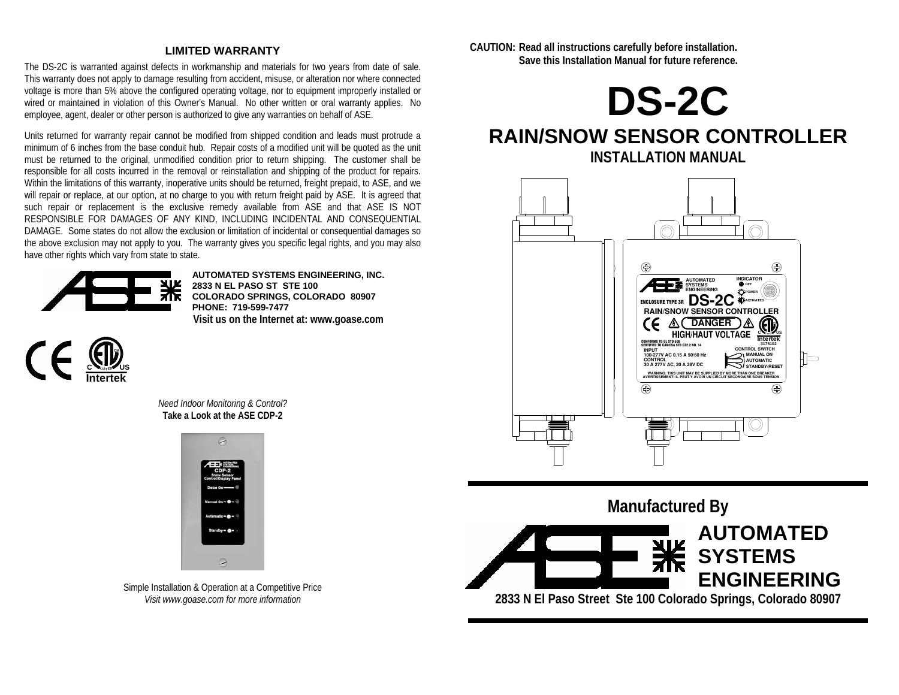### **LIMITED WARRANTY**

The DS-2C is warranted against defects in workmanship and materials for two years from date of sale. This warranty does not apply to damage resulting from accident, misuse, or alteration nor where connected voltage is more than 5% above the configured operating voltage, nor to equipment improperly installed or wired or maintained in violation of this Owner's Manual. No other written or oral warranty applies. No employee, agent, dealer or other person is authorized to give any warranties on behalf of ASE.

Units returned for warranty repair cannot be modified from shipped condition and leads must protrude a minimum of 6 inches from the base conduit hub. Repair costs of a modified unit will be quoted as the unit must be returned to the original, unmodified condition prior to return shipping. The customer shall be responsible for all costs incurred in the removal or reinstallation and shipping of the product for repairs. Within the limitations of this warranty, inoperative units should be returned, freight prepaid, to ASE, and we will repair or replace, at our option, at no charge to you with return freight paid by ASE. It is agreed that such repair or replacement is the exclusive remedy available from ASE and that ASE IS NOT RESPONSIBLE FOR DAMAGES OF ANY KIND, INCLUDING INCIDENTAL AND CONSEQUENTIAL DAMAGE. Some states do not allow the exclusion or limitation of incidental or consequential damages so the above exclusion may not apply to you. The warranty gives you specific legal rights, and you may also have other rights which vary from state to state.



**AUTOMATED SYSTEMS ENGINEERING, INC. 2833 N EL PASO ST STE 100 COLORADO SPRINGS, COLORADO 80907 PHONE: 719-599-7477 Visit us on the Internet at: www.goase.com** 



*Need Indoor Monitoring & Control?*  **Take a Look at the ASE CDP-2** 



Simple Installation & Operation at a Competitive Price *Visit www.goase.com for more information* 

**CAUTION: Read all instructions carefully before installation. Save this Installation Manual for future reference.** 



# **RAIN/SNOW SENSOR CONTROLLER INSTALLATION MANUAL**



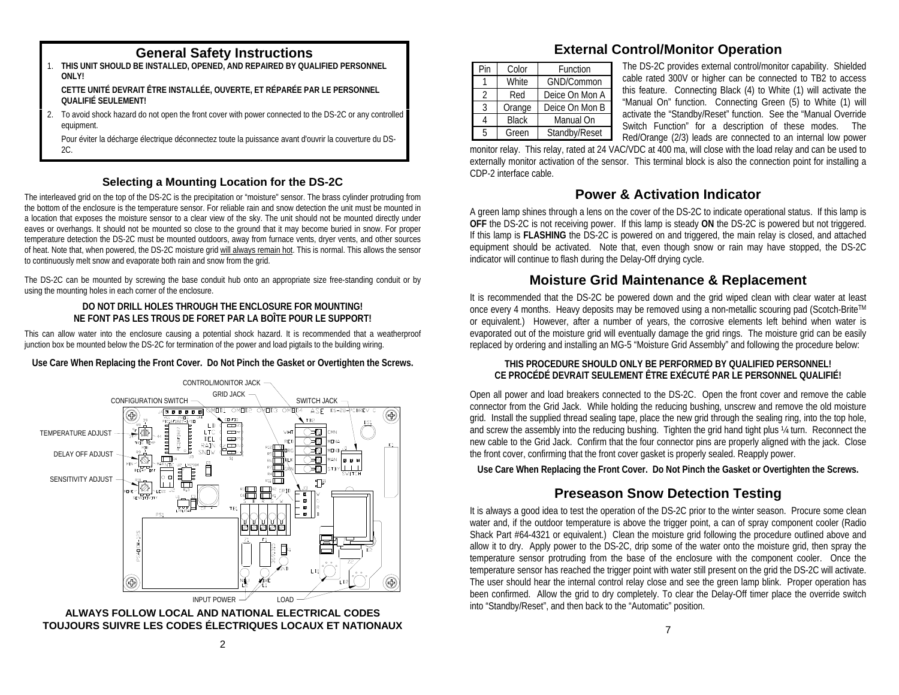- 1. **THIS UNIT SHOULD BE INSTALLED, OPENED, AND REPAIRED BY QUALIFIED PERSONNEL ONLY! CETTE UNITÉ DEVRAIT ÊTRE INSTALLÉE, OUVERTE, ET RÉPARÉE PAR LE PERSONNEL QUALIFIÉ SEULEMENT!**
- 2. To avoid shock hazard do not open the front cover with power connected to the DS-2C or any controlled equipment.

 Pour éviter la décharge électrique déconnectez toute la puissance avant d'ouvrir la couverture du DS-2C.

### **Selecting a Mounting Location for the DS-2C**

The interleaved grid on the top of the DS-2C is the precipitation or "moisture" sensor. The brass cylinder protruding from the bottom of the enclosure is the temperature sensor. For reliable rain and snow detection the unit must be mounted in a location that exposes the moisture sensor to a clear view of the sky. The unit should not be mounted directly under eaves or overhangs. It should not be mounted so close to the ground that it may become buried in snow. For proper temperature detection the DS-2C must be mounted outdoors, away from furnace vents, dryer vents, and other sources of heat. Note that, when powered, the DS-2C moisture grid will always remain hot. This is normal. This allows the sensor to continuously melt snow and evaporate both rain and snow from the grid.

The DS-2C can be mounted by screwing the base conduit hub onto an appropriate size free-standing conduit or by using the mounting holes in each corner of the enclosure.

#### **DO NOT DRILL HOLES THROUGH THE ENCLOSURE FOR MOUNTING! NE FONT PAS LES TROUS DE FORET PAR LA BOÎTE POUR LE SUPPORT!**

This can allow water into the enclosure causing a potential shock hazard. It is recommended that a weatherproof junction box be mounted below the DS-2C for termination of the power and load pigtails to the building wiring.

### **Use Care When Replacing the Front Cover. Do Not Pinch the Gasket or Overtighten the Screws.**





# **General Safety Instructions External Control/Monitor Operation**

| Pin            | Color        | Function       |  |  |
|----------------|--------------|----------------|--|--|
|                | White        | GND/Common     |  |  |
| $\mathfrak{D}$ | Red          | Deice On Mon A |  |  |
| ર              | Orange       | Deice On Mon B |  |  |
|                | <b>Black</b> | Manual On      |  |  |
| 5              | Green        | Standby/Reset  |  |  |

The DS-2C provides external control/monitor capability. Shielded cable rated 300V or higher can be connected to TB2 to access this feature. Connecting Black (4) to White (1) will activate the "Manual On" function. Connecting Green (5) to White (1) will activate the "Standby/Reset" function. See the "Manual Override Switch Function" for a description of these modes. The Red/Orange (2/3) leads are connected to an internal low power

monitor relay. This relay, rated at 24 VAC/VDC at 400 ma, will close with the load relay and can be used to externally monitor activation of the sensor. This terminal block is also the connection point for installing a CDP-2 interface cable.

### **Power & Activation Indicator**

A green lamp shines through a lens on the cover of the DS-2C to indicate operational status. If this lamp is **OFF** the DS-2C is not receiving power. If this lamp is steady **ON** the DS-2C is powered but not triggered. If this lamp is **FLASHING** the DS-2C is powered on and triggered, the main relay is closed, and attached equipment should be activated. Note that, even though snow or rain may have stopped, the DS-2C indicator will continue to flash during the Delay-Off drying cycle.

## **Moisture Grid Maintenance & Replacement**

It is recommended that the DS-2C be powered down and the grid wiped clean with clear water at least once every 4 months. Heavy deposits may be removed using a non-metallic scouring pad (Scotch-BriteTM or equivalent.) However, after a number of years, the corrosive elements left behind when water is evaporated out of the moisture grid will eventually damage the grid rings. The moisture grid can be easily replaced by ordering and installing an MG-5 "Moisture Grid Assembly" and following the procedure below:

#### **THIS PROCEDURE SHOULD ONLY BE PERFORMED BY QUALIFIED PERSONNEL! CE PROCÉDÉ DEVRAIT SEULEMENT ÊTRE EXÉCUTÉ PAR LE PERSONNEL QUALIFIÉ!**

Open all power and load breakers connected to the DS-2C. Open the front cover and remove the cable connector from the Grid Jack. While holding the reducing bushing, unscrew and remove the old moisture grid. Install the supplied thread sealing tape, place the new grid through the sealing ring, into the top hole, and screw the assembly into the reducing bushing. Tighten the grid hand tight plus ¼ turn. Reconnect the new cable to the Grid Jack. Confirm that the four connector pins are properly aligned with the jack. Close the front cover, confirming that the front cover gasket is properly sealed. Reapply power.

**Use Care When Replacing the Front Cover. Do Not Pinch the Gasket or Overtighten the Screws.**

# **Preseason Snow Detection Testing**

It is always a good idea to test the operation of the DS-2C prior to the winter season. Procure some clean water and, if the outdoor temperature is above the trigger point, a can of spray component cooler (Radio Shack Part #64-4321 or equivalent.) Clean the moisture grid following the procedure outlined above and allow it to dry. Apply power to the DS-2C, drip some of the water onto the moisture grid, then spray the temperature sensor protruding from the base of the enclosure with the component cooler. Once the temperature sensor has reached the trigger point with water still present on the grid the DS-2C will activate. The user should hear the internal control relay close and see the green lamp blink. Proper operation has been confirmed. Allow the grid to dry completely. To clear the Delay-Off timer place the override switch into "Standby/Reset", and then back to the "Automatic" position.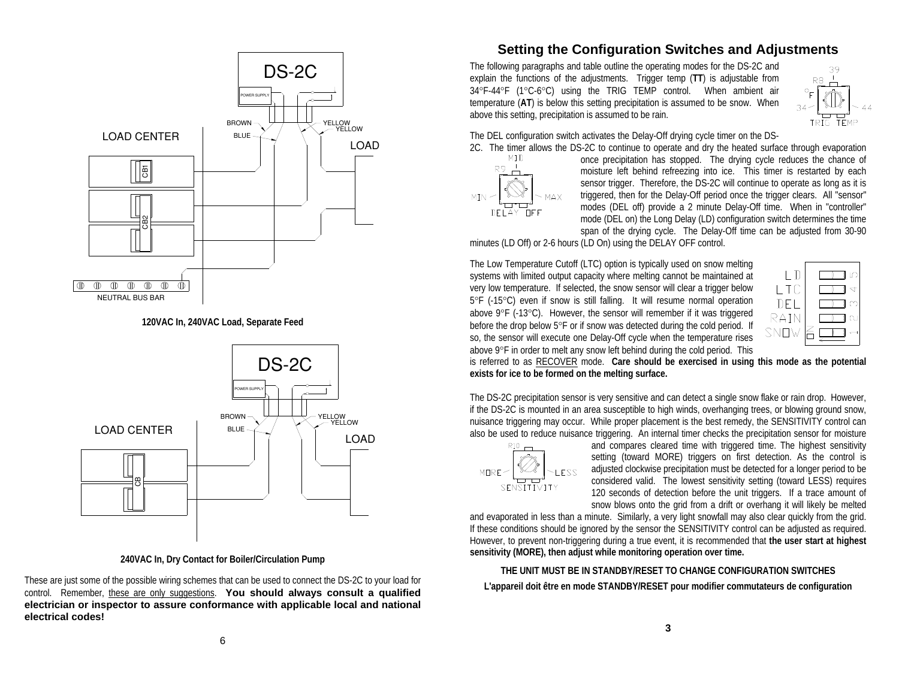

**120VAC In, 240VAC Load, Separate Feed** 



**240VAC In, Dry Contact for Boiler/Circulation Pump** 

These are just some of the possible wiring schemes that can be used to connect the DS-2C to your load for control. Remember, these are only suggestions. **You should always consult a qualified electrician or inspector to assure conformance with applicable local and national electrical codes!**

## **Setting the Configuration Switches and Adjustments**

The following paragraphs and table outline the operating modes for the DS-2C and explain the functions of the adjustments. Trigger temp (**TT**) is adjustable from 34°F-44°F (1°C-6°C) using the TRIG TEMP control. When ambient air temperature (**AT**) is below this setting precipitation is assumed to be snow. When above this setting, precipitation is assumed to be rain.



The DEL configuration switch activates the Delay-Off drying cycle timer on the DS-



2C. The timer allows the DS-2C to continue to operate and dry the heated surface through evaporation MID once precipitation has stopped. The drying cycle reduces the chance of once precipitation has stopped. The drying cycle reduces the chance of moisture left behind refreezing into ice. This timer is restarted by each sensor trigger. Therefore, the DS-2C will continue to operate as long as it is triggered, then for the Delay-Off period once the trigger clears. All "sensor" modes (DEL off) provide a 2 minute Delay-Off time. When in "controller" mode (DEL on) the Long Delay (LD) configuration switch determines the time span of the drying cycle. The Delay-Off time can be adjusted from 30-90

minutes (LD Off) or 2-6 hours (LD On) using the DELAY OFF control.

The Low Temperature Cutoff (LTC) option is typically used on snow melting systems with limited output capacity where melting cannot be maintained at very low temperature. If selected, the snow sensor will clear a trigger below 5°F (-15°C) even if snow is still falling. It will resume normal operation above 9°F (-13°C). However, the sensor will remember if it was triggered before the drop below 5°F or if snow was detected during the cold period. If so, the sensor will execute one Delay-Off cycle when the temperature rises above 9°F in order to melt any snow left behind during the cold period. This



is referred to as RECOVER mode. **Care should be exercised in using this mode as the potential exists for ice to be formed on the melting surface.**

The DS-2C precipitation sensor is very sensitive and can detect a single snow flake or rain drop. However, if the DS-2C is mounted in an area susceptible to high winds, overhanging trees, or blowing ground snow, nuisance triggering may occur. While proper placement is the best remedy, the SENSITIVITY control can also be used to reduce nuisance triggering. An internal timer checks the precipitation sensor for moisture



and compares cleared time with triggered time. The highest sensitivity setting (toward MORE) triggers on first detection. As the control is adjusted clockwise precipitation must be detected for a longer period to be considered valid. The lowest sensitivity setting (toward LESS) requires 120 seconds of detection before the unit triggers. If a trace amount of snow blows onto the grid from a drift or overhang it will likely be melted

and evaporated in less than a minute. Similarly, a very light snowfall may also clear quickly from the grid. If these conditions should be ignored by the sensor the SENSITIVITY control can be adjusted as required. However, to prevent non-triggering during a true event, it is recommended that **the user start at highest sensitivity (MORE), then adjust while monitoring operation over time.**

**THE UNIT MUST BE IN STANDBY/RESET TO CHANGE CONFIGURATION SWITCHESL'appareil doit être en mode STANDBY/RESET pour modifier commutateurs de configuration** 

**3**